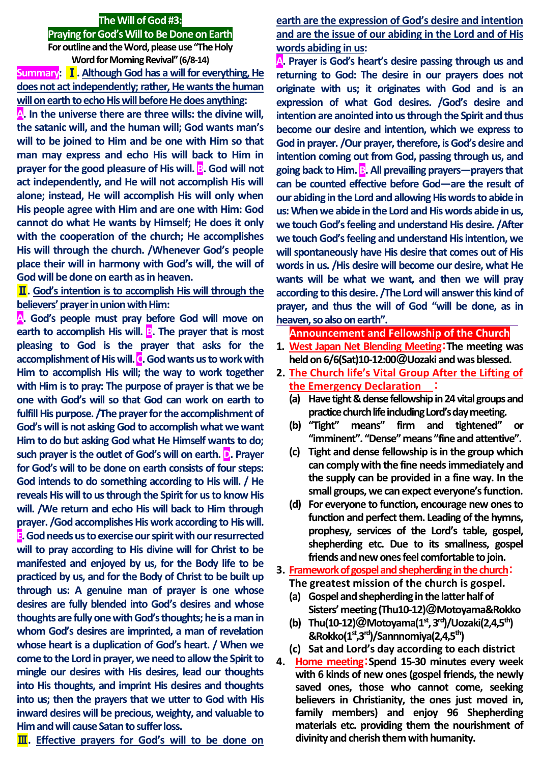#### **The Will of God #3:**

#### **Praying for God's Will to Be Done on Earth**

**For outline and the Word, please use "The Holy Word for Morning Revival"(6/8-14) Summary:** Ⅰ**. Although God has a will for everything, He does not act independently; rather, He wants the human will on earth to echo His will before He does anything:**

**A. In the universe there are three wills: the divine will, the satanic will, and the human will; God wants man's will to be joined to Him and be one with Him so that man may express and echo His will back to Him in prayer for the good pleasure of His will. B.** God will not **act independently, and He will not accomplish His will alone; instead, He will accomplish His will only when His people agree with Him and are one with Him: God cannot do what He wants by Himself; He does it only with the cooperation of the church; He accomplishes His will through the church. /Whenever God's people place their will in harmony with God's will, the will of God will be done on earth as in heaven.**

Ⅱ**. God's intention is to accomplish His will through the believers' prayer in union with Him:** 

**A. God's people must pray before God will move on earth to accomplish His will. <b>B**. The prayer that is most **pleasing to God is the prayer that asks for the accomplishment of His will. C. God wants us to work with Him to accomplish His will; the way to work together with Him is to pray: The purpose of prayer is that we be one with God's will so that God can work on earth to fulfill His purpose. /The prayer for the accomplishment of God's will is not asking God to accomplish what we want Him to do but asking God what He Himself wants to do; such prayer is the outlet of God's will on earth. D. Prayer for God's will to be done on earth consists of four steps: God intends to do something according to His will. / He reveals His will to us through the Spirit for us to know His will. /We return and echo His will back to Him through prayer. /God accomplishes His work according to His will. E. God needs us to exercise our spirit with our resurrected will to pray according to His divine will for Christ to be manifested and enjoyed by us, for the Body life to be practiced by us, and for the Body of Christ to be built up through us: A genuine man of prayer is one whose desires are fully blended into God's desires and whose thoughts are fully one with God's thoughts; he is a man in whom God's desires are imprinted, a man of revelation whose heart is a duplication of God's heart. / When we come to the Lord in prayer, we need to allow the Spirit to mingle our desires with His desires, lead our thoughts into His thoughts, and imprint His desires and thoughts into us; then the prayers that we utter to God with His inward desires will be precious, weighty, and valuable to Him and will cause Satan to suffer loss.**

Ⅲ**. Effective prayers for God's will to be done on** 

# **earth are the expression of God's desire and intention and are the issue of our abiding in the Lord and of His words abiding in us:**

**A. Prayer is God's heart's desire passing through us and returning to God: The desire in our prayers does not originate with us; it originates with God and is an expression of what God desires. /God's desire and intention are anointed into us through the Spirit and thus become our desire and intention, which we express to God in prayer. /Our prayer, therefore, is God's desire and intention coming out from God, passing through us, and going back to Him. B. All prevailing prayers—prayers that can be counted effective before God—are the result of our abiding in the Lord and allowing His words to abide in us: When we abide in the Lord and His words abide in us, we touch God's feeling and understand His desire. /After we touch God's feeling and understand His intention, we will spontaneously have His desire that comes out of His words in us. /His desire will become our desire, what He wants will be what we want, and then we will pray according to this desire. /The Lord will answer this kind of prayer, and thus the will of God "will be done, as in heaven, so also on earth".**

#### **Announcement and Fellowship of the Church**

- **1. West Japan Net Blending Meeting**:**The meeting was held on 6/6(Sat)10-12:00**@**Uozaki and was blessed.**
- **2. The Church life's Vital Group After the Lifting of the Emergency Declaration** :
	- (a) Have tight & dense fellowship in 24 vital groups and **practice church life including Lord's day meeting.**
	- **(b) "Tight" means" firm and tightened" or "imminent". "Dense"means "fine and attentive".**
	- **(c) Tight and dense fellowship is in the group which can complywith the fine needs immediately and the supply can be provided in a fine way. In the small groups, we can expect everyone's function.**
	- **(d) For everyone to function, encourage new ones to function and perfect them. Leading of the hymns, prophesy, services of the Lord's table, gospel, shepherding etc. Due to its smallness, gospel friends and new ones feel comfortable to join.**
- **3. Framework of gospel and shepherding in the church**:
	- **The greatest mission of the church is gospel.**
	- **(a) Gospel and shepherding in the latter half of Sisters' meeting(Thu10-12)**@**Motoyama&Rokko**
	- **(b) Thu(10-12)**@**Motoyama(1st , 3 rd)/Uozaki(2,4,5th) &Rokko(1st,3rd)/Sannnomiya(2,4,5th)**
	- **(c) Sat and Lord's day according to each district**
- **4. Home meeting**:**Spend 15-30 minutes every week with 6 kinds of new ones (gospel friends, the newly saved ones, those who cannot come, seeking believers in Christianity, the ones just moved in, family members) and enjoy 96 Shepherding materials etc. providing them the nourishment of**  divinity and cherish them with humanity.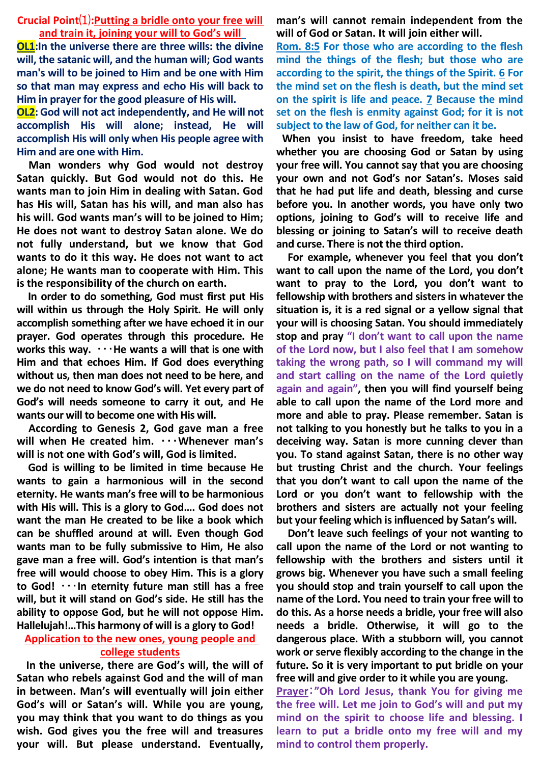## **Crucial Point**⑴**:Putting a bridle onto your free will and train it, joining your will to God's will**

**OL1:In the universe there are three wills: the divine will, the satanic will, and the human will; God wants man's will to be joined to Him and be one with Him so that man may express and echo His will back to Him in prayer for the good pleasure of His will.**

**OL2: God will not act independently, and He will not accomplish His will alone; instead, He will accomplish His will only when His people agree with Him and are one with Him.** 

**Man wonders why God would not destroy Satan quickly. But God would not do this. He wants man to join Him in dealing with Satan. God has His will, Satan has his will, and man also has his will. God wants man's will to be joined to Him; He does not want to destroy Satan alone. We do not fully understand, but we know that God wants to do it this way. He does not want to act alone; He wants man to cooperate with Him. This is the responsibility of the church on earth.**

**In order to do something, God must first put His will within us through the Holy Spirit. He will only accomplish something after we have echoed it in our prayer. God operates through this procedure. He works this way.** ・・・**He wants a will that is one with Him and that echoes Him. If God does everything without us, then man does not need to be here, and we do not need to know God's will. Yet every part of God's will needs someone to carry it out, and He wants our will to become one with His will.** 

**According to Genesis 2, God gave man a free will when He created him.** ・・・**Whenever man's will is not one with God's will, God is limited.**

**God is willing to be limited in time because He wants to gain a harmonious will in the second eternity. He wants man's free will to be harmonious with His will. This is a glory to God…. God does not want the man He created to be like a book which can be shuffled around at will. Even though God wants man to be fully submissive to Him, He also gave man a free will. God's intention is that man's free will would choose to obey Him. This is a glory to God!** ・・・**In eternity future man still has a free will, but it will stand on God's side. He still has the ability to oppose God, but he will not oppose Him. Hallelujah!…This harmony of will is a glory to God!** 

# **Application to the new ones, young people and college students**

**In the universe, there are God's will, the will of Satan who rebels against God and the will of man in between. Man's will eventually will join either God's will or Satan's will. While you are young, you may think that you want to do things as you wish. God gives you the free will and treasures your will. But please understand. Eventually,**  **man's will cannot remain independent from the will of God or Satan. It will join either will.** 

**Rom. 8:5 For those who are according to the flesh mind the things of the flesh; but those who are according to the spirit, the things of the Spirit. 6 For the mind set on the flesh is death, but the mind set on the spirit is life and peace. 7 Because the mind set on the flesh is enmity against God; for it is not subject to the law of God, for neither can it be.**

**When you insist to have freedom, take heed whether you are choosing God or Satan by using your free will. You cannot say that you are choosing your own and not God's nor Satan's. Moses said that he had put life and death, blessing and curse before you. In another words, you have only two options, joining to God's will to receive life and blessing or joining to Satan's will to receive death and curse. There is not the third option.**

**For example, whenever you feel that you don't want to call upon the name of the Lord, you don't want to pray to the Lord, you don't want to fellowship with brothers and sisters in whatever the situation is, it is a red signal or a yellow signal that your will is choosing Satan. You should immediately stop and pray "I don't want to call upon the name of the Lord now, but I also feel that I am somehow taking the wrong path, so I will command my will and start calling on the name of the Lord quietly again and again", then you will find yourself being able to call upon the name of the Lord more and more and able to pray. Please remember. Satan is not talking to you honestly but he talks to you in a deceiving way. Satan is more cunning clever than you. To stand against Satan, there is no other way but trusting Christ and the church. Your feelings that you don't want to call upon the name of the Lord or you don't want to fellowship with the brothers and sisters are actually not your feeling but your feeling which is influenced by Satan's will.** 

**Don't leave such feelings of your not wanting to call upon the name of the Lord or not wanting to fellowship with the brothers and sisters until it grows big. Whenever you have such a small feeling you should stop and train yourself to call upon the name of the Lord. You need to train your free will to do this. As a horse needs a bridle, your free will also needs a bridle. Otherwise, it will go to the dangerous place. With a stubborn will, you cannot work or serve flexibly according to the change in the future. So it is very important to put bridle on your free will and give order to it while you are young.** 

**Prayer**:**"Oh Lord Jesus, thank You for giving me the free will. Let me join to God's will and put my mind on the spirit to choose life and blessing. I learn to put a bridle onto my free will and my mind to control them properly.**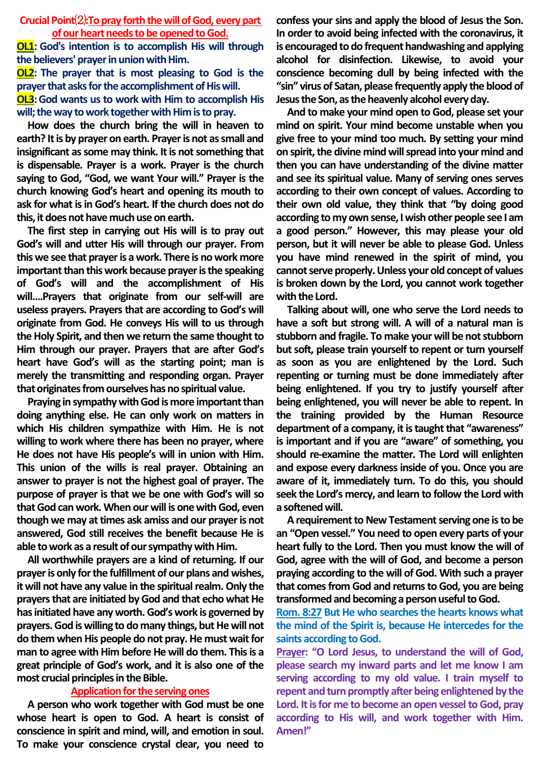### **Crucial Point**⑵**:To pray forth the will of God, every part of our heart needs to be opened to God.**

**OL1: God's intention is to accomplish His will through the believers' prayer in union with Him. OL2: The prayer that is most pleasing to God is the prayer that asks for the accomplishment of His will. OL3:** God wants us to work with Him to accomplish His **will; the way to work together with Him is to pray.**

**How does the church bring the will in heaven to earth? It is by prayer on earth. Prayer is not as small and insignificant as some may think. It is not something that is dispensable. Prayer is a work. Prayer is the church saying to God, "God, we want Your will." Prayer is the church knowing God's heart and opening its mouth to ask for what is in God's heart. If the church does not do this, it does not have much use on earth.** 

**The first step in carrying out His will is to pray out God's will and utter His will through our prayer. From this we see that prayer is a work. There is no work more important than this work because prayer is the speaking of God's will and the accomplishment of His will….Prayers that originate from our self-will are useless prayers. Prayers that are according to God's will originate from God. He conveys His will to us through the Holy Spirit, and then we return the same thought to Him through our prayer. Prayers that are after God's heart have God's will as the starting point; man is merely the transmitting and responding organ. Prayer that originates from ourselves has no spiritual value.**

**Praying in sympathy with God is more important than doing anything else. He can only work on matters in which His children sympathize with Him. He is not willing to work where there has been no prayer, where He does not have His people's will in union with Him. This union of the wills is real prayer. Obtaining an answer to prayer is not the highest goal of prayer. The purpose of prayer is that we be one with God's will so that God can work. When our will is one with God, even though we may at times ask amiss and our prayer is not answered, God still receives the benefit because He is able to work as a result of our sympathy with Him.**

**All worthwhile prayers are a kind of returning. If our prayer is only for the fulfillment of our plans and wishes, it will not have any value in the spiritual realm. Only the prayers that are initiated by God and that echo what He has initiated have any worth. God's work is governed by prayers. God is willing to do many things, but He will not do them when His people do not pray. He must wait for man to agree with Him before He will do them. This is a great principle of God's work, and it is also one of the most crucial principles in the Bible.**

### **Application for the serving ones**

**A person who work together with God must be one whose heart is open to God. A heart is consist of conscience in spirit and mind, will, and emotion in soul. To make your conscience crystal clear, you need to** 

**confess your sins and apply the blood of Jesus the Son. In order to avoid being infected with the coronavirus, it is encouraged to do frequent handwashing and applying alcohol for disinfection. Likewise, to avoid your conscience becoming dull by being infected with the "sin" virus of Satan, please frequently apply the blood of Jesus the Son, as the heavenly alcohol every day.** 

**And to make your mind open to God, please set your mind on spirit. Your mind become unstable when you give free to your mind too much. By setting your mind on spirit, the divine mind will spread into your mind and then you can have understanding of the divine matter and see its spiritual value. Many of serving ones serves according to their own concept of values. According to their own old value, they think that "by doing good according to my own sense, I wish other people see I am a good person." However, this may please your old person, but it will never be able to please God. Unless you have mind renewed in the spirit of mind, you cannot serve properly. Unless your old concept of values is broken down by the Lord, you cannot work together with the Lord.** 

**Talking about will, one who serve the Lord needs to have a soft but strong will. A will of a natural man is stubborn and fragile. To make your will be not stubborn but soft, please train yourself to repent or turn yourself as soon as you are enlightened by the Lord. Such repenting or turning must be done immediately after being enlightened. If you try to justify yourself after being enlightened, you will never be able to repent. In the training provided by the Human Resource department of a company, it is taught that "awareness" is important and if you are "aware" of something, you should re-examine the matter. The Lord will enlighten and expose every darkness inside of you. Once you are aware of it, immediately turn. To do this, you should seek the Lord's mercy, and learn to follow the Lord with a softened will.**

**Arequirement to New Testament serving one is to be an "Open vessel." You need to open every parts of your heart fully to the Lord. Then you must know the will of God, agree with the will of God, and become a person praying according to the will of God. With such a prayer that comes from God and returns to God, you are being transformed and becoming a person useful to God.**

**Rom. 8:27 But He who searches the hearts knows what the mind of the Spirit is, because He intercedes for the saints according to God.**

**Prayer: "O Lord Jesus, to understand the will of God, please search my inward parts and let me know I am serving according to my old value. I train myself to repent and turn promptly after being enlightened by the Lord. It is for me to become an open vessel to God, pray according to His will, and work together with Him. Amen!"**